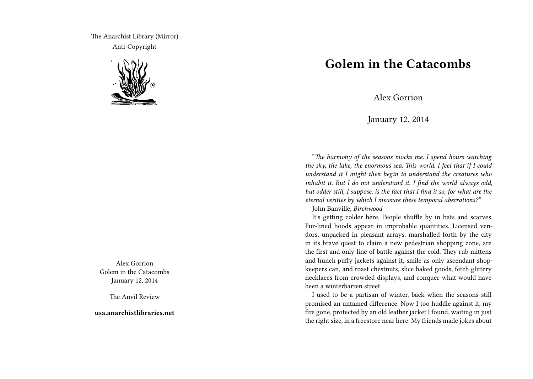The Anarchist Library (Mirror) Anti-Copyright



Alex Gorrion Golem in the Catacombs January 12, 2014

The Anvil Review

**usa.anarchistlibraries.net**

## **Golem in the Catacombs**

Alex Gorrion

January 12, 2014

"*The harmony of the seasons mocks me. I spend hours watching the sky, the lake, the enormous sea. This world. I feel that if I could understand it I might then begin to understand the creatures who inhabit it. But I do not understand it. I find the world always odd, but odder still, I suppose, is the fact that I find it so, for what are the eternal verities by which I measure these temporal aberrations?"*

John Banville, *Birchwood*

It's getting colder here. People shuffle by in hats and scarves. Fur-lined hoods appear in improbable quantities. Licensed vendors, unpacked in pleasant arrays, marshalled forth by the city in its brave quest to claim a new pedestrian shopping zone, are the first and only line of battle against the cold. They rub mittens and hunch puffy jackets against it, smile as only ascendant shopkeepers can, and roast chestnuts, slice baked goods, fetch glittery necklaces from crowded displays, and conquer what would have been a winterbarren street.

I used to be a partisan of winter, back when the seasons still promised an untamed difference. Now I too huddle against it, my fire gone, protected by an old leather jacket I found, waiting in just the right size, in a freestore near here. My friends made jokes about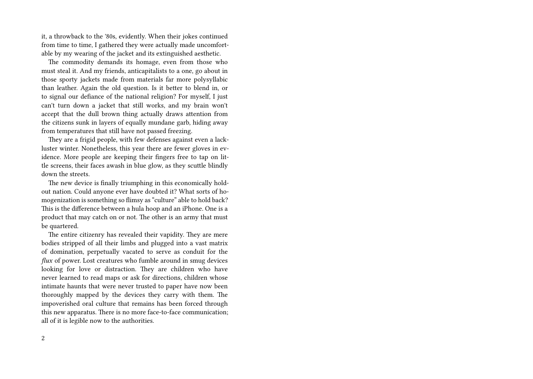it, a throwback to the '80s, evidently. When their jokes continued from time to time, I gathered they were actually made uncomfortable by my wearing of the jacket and its extinguished aesthetic.

The commodity demands its homage, even from those who must steal it. And my friends, anticapitalists to a one, go about in those sporty jackets made from materials far more polysyllabic than leather. Again the old question. Is it better to blend in, or to signal our defiance of the national religion? For myself, I just can't turn down a jacket that still works, and my brain won't accept that the dull brown thing actually draws attention from the citizens sunk in layers of equally mundane garb, hiding away from temperatures that still have not passed freezing.

They are a frigid people, with few defenses against even a lackluster winter. Nonetheless, this year there are fewer gloves in evidence. More people are keeping their fingers free to tap on little screens, their faces awash in blue glow, as they scuttle blindly down the streets.

The new device is finally triumphing in this economically holdout nation. Could anyone ever have doubted it? What sorts of homogenization is something so flimsy as "culture" able to hold back? This is the difference between a hula hoop and an iPhone. One is a product that may catch on or not. The other is an army that must be quartered.

The entire citizenry has revealed their vapidity. They are mere bodies stripped of all their limbs and plugged into a vast matrix of domination, perpetually vacated to serve as conduit for the *flux* of power. Lost creatures who fumble around in smug devices looking for love or distraction. They are children who have never learned to read maps or ask for directions, children whose intimate haunts that were never trusted to paper have now been thoroughly mapped by the devices they carry with them. The impoverished oral culture that remains has been forced through this new apparatus. There is no more face-to-face communication; all of it is legible now to the authorities.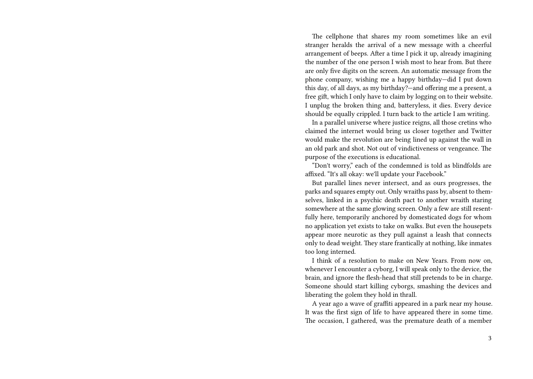The cellphone that shares my room sometimes like an evil stranger heralds the arrival of a new message with a cheerful arrangement of beeps. After a time I pick it up, already imagining the number of the one person I wish most to hear from. But there are only five digits on the screen. An automatic message from the phone company, wishing me a happy birthday—did I put down this day, of all days, as my birthday?—and offering me a present, a free gift, which I only have to claim by logging on to their website. I unplug the broken thing and, batteryless, it dies. Every device should be equally crippled. I turn back to the article I am writing.

In a parallel universe where justice reigns, all those cretins who claimed the internet would bring us closer together and Twitter would make the revolution are being lined up against the wall in an old park and shot. Not out of vindictiveness or vengeance. The purpose of the executions is educational.

"Don't worry," each of the condemned is told as blindfolds are affixed. "It's all okay: we'll update your Facebook."

But parallel lines never intersect, and as ours progresses, the parks and squares empty out. Only wraiths pass by, absent to themselves, linked in a psychic death pact to another wraith staring somewhere at the same glowing screen. Only a few are still resentfully here, temporarily anchored by domesticated dogs for whom no application yet exists to take on walks. But even the housepets appear more neurotic as they pull against a leash that connects only to dead weight. They stare frantically at nothing, like inmates too long interned.

I think of a resolution to make on New Years. From now on, whenever I encounter a cyborg, I will speak only to the device, the brain, and ignore the flesh-head that still pretends to be in charge. Someone should start killing cyborgs, smashing the devices and liberating the golem they hold in thrall.

A year ago a wave of graffiti appeared in a park near my house. It was the first sign of life to have appeared there in some time. The occasion, I gathered, was the premature death of a member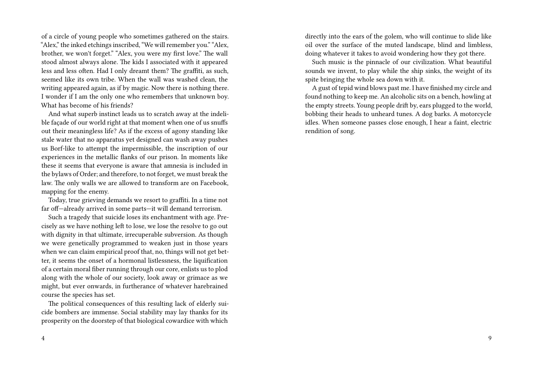of a circle of young people who sometimes gathered on the stairs. "Alex," the inked etchings inscribed, "We will remember you." "Alex, brother, we won't forget." "Alex, you were my first love." The wall stood almost always alone. The kids I associated with it appeared less and less often. Had I only dreamt them? The graffiti, as such, seemed like its own tribe. When the wall was washed clean, the writing appeared again, as if by magic. Now there is nothing there. I wonder if I am the only one who remembers that unknown boy. What has become of his friends?

And what superb instinct leads us to scratch away at the indelible façade of our world right at that moment when one of us snuffs out their meaningless life? As if the excess of agony standing like stale water that no apparatus yet designed can wash away pushes us Borf-like to attempt the impermissible, the inscription of our experiences in the metallic flanks of our prison. In moments like these it seems that everyone is aware that amnesia is included in the bylaws of Order; and therefore, to not forget, we must break the law. The only walls we are allowed to transform are on Facebook, mapping for the enemy.

Today, true grieving demands we resort to graffiti. In a time not far off—already arrived in some parts—it will demand terrorism.

Such a tragedy that suicide loses its enchantment with age. Precisely as we have nothing left to lose, we lose the resolve to go out with dignity in that ultimate, irrecuperable subversion. As though we were genetically programmed to weaken just in those years when we can claim empirical proof that, no, things will not get better, it seems the onset of a hormonal listlessness, the liquification of a certain moral fiber running through our core, enlists us to plod along with the whole of our society, look away or grimace as we might, but ever onwards, in furtherance of whatever harebrained course the species has set.

The political consequences of this resulting lack of elderly suicide bombers are immense. Social stability may lay thanks for its prosperity on the doorstep of that biological cowardice with which

directly into the ears of the golem, who will continue to slide like oil over the surface of the muted landscape, blind and limbless, doing whatever it takes to avoid wondering how they got there.

Such music is the pinnacle of our civilization. What beautiful sounds we invent, to play while the ship sinks, the weight of its spite bringing the whole sea down with it.

A gust of tepid wind blows past me. I have finished my circle and found nothing to keep me. An alcoholic sits on a bench, howling at the empty streets. Young people drift by, ears plugged to the world, bobbing their heads to unheard tunes. A dog barks. A motorcycle idles. When someone passes close enough, I hear a faint, electric rendition of song.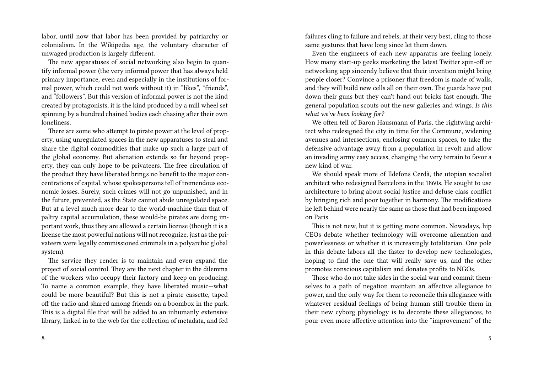labor, until now that labor has been provided by patriarchy or colonialism. In the Wikipedia age, the voluntary character of unwaged production is largely different.

The new apparatuses of social networking also begin to quantify informal power (the very informal power that has always held primary importance, even and especially in the institutions of formal power, which could not work without it) in "likes", "friends", and "followers". But this version of informal power is not the kind created by protagonists, it is the kind produced by a mill wheel set spinning by a hundred chained bodies each chasing after their own loneliness.

There are some who attempt to pirate power at the level of property, using unregulated spaces in the new apparatuses to steal and share the digital commodities that make up such a large part of the global economy. But alienation extends so far beyond property, they can only hope to be privateers. The free circulation of the product they have liberated brings no benefit to the major concentrations of capital, whose spokespersons tell of tremendous economic losses. Surely, such crimes will not go unpunished, and in the future, prevented, as the State cannot abide unregulated space. But at a level much more dear to the world-machine than that of paltry capital accumulation, these would-be pirates are doing important work, thus they are allowed a certain license (though it is a license the most powerful nations will not recognize, just as the privateers were legally commissioned criminals in a polyarchic global system).

The service they render is to maintain and even expand the project of social control. They are the next chapter in the dilemma of the workers who occupy their factory and keep on producing. To name a common example, they have liberated music—what could be more beautiful? But this is not a pirate cassette, taped off the radio and shared among friends on a boombox in the park. This is a digital file that will be added to an inhumanly extensive library, linked in to the web for the collection of metadata, and fed

8

failures cling to failure and rebels, at their very best, cling to those same gestures that have long since let them down.

Even the engineers of each new apparatus are feeling lonely. How many start-up geeks marketing the latest Twitter spin-off or networking app sincerely believe that their invention might bring people closer? Convince a prisoner that freedom is made of walls, and they will build new cells all on their own. The guards have put down their guns but they can't hand out bricks fast enough. The general population scouts out the new galleries and wings. *Is this what we've been looking for?*

We often tell of Baron Hausmann of Paris, the rightwing architect who redesigned the city in time for the Commune, widening avenues and intersections, enclosing common spaces, to take the defensive advantage away from a population in revolt and allow an invading army easy access, changing the very terrain to favor a new kind of war.

We should speak more of Ildefons Cerdà, the utopian socialist architect who redesigned Barcelona in the 1860s. He sought to use architecture to bring about social justice and defuse class conflict by bringing rich and poor together in harmony. The modifications he left behind were nearly the same as those that had been imposed on Paris.

This is not new, but it is getting more common. Nowadays, hip CEOs debate whether technology will overcome alienation and powerlessness or whether it is increasingly totalitarian. One pole in this debate labors all the faster to develop new technologies, hoping to find the one that will really save us, and the other promotes conscious capitalism and donates profits to NGOs.

Those who do not take sides in the social war and commit themselves to a path of negation maintain an affective allegiance to power, and the only way for them to reconcile this allegiance with whatever residual feelings of being human still trouble them in their new cyborg physiology is to decorate these allegiances, to pour even more affective attention into the "improvement" of the